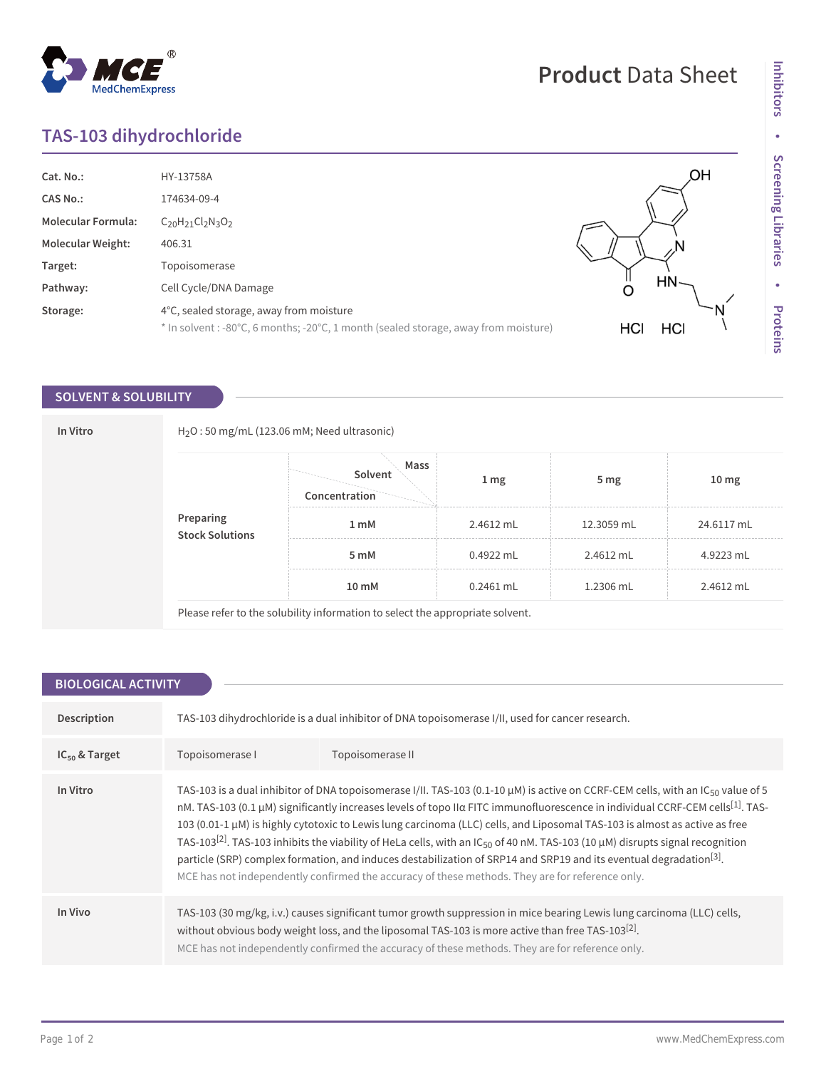### **TAS-103 dihydrochloride**

| Cat. No.:                 | HY-13758A                                                                           | ЮH         |
|---------------------------|-------------------------------------------------------------------------------------|------------|
| <b>CAS No.:</b>           | 174634-09-4                                                                         |            |
| <b>Molecular Formula:</b> | $C_{20}H_{21}Cl_{2}N_{3}O_{2}$                                                      |            |
| <b>Molecular Weight:</b>  | 406.31                                                                              |            |
| Target:                   | Topoisomerase                                                                       |            |
| Pathway:                  | Cell Cycle/DNA Damage                                                               | HN-<br>O   |
| Storage:                  | 4°C, sealed storage, away from moisture                                             |            |
|                           | * In solvent : -80°C, 6 months; -20°C, 1 month (sealed storage, away from moisture) | HCI<br>HCI |

### **SOLVENT & SOLUBILITY**

| In Vitro |                                      | $H_2O$ : 50 mg/mL (123.06 mM; Need ultrasonic)                                |                 |                 |                  |  |
|----------|--------------------------------------|-------------------------------------------------------------------------------|-----------------|-----------------|------------------|--|
|          |                                      | Mass<br>Solvent<br>Concentration                                              | 1 <sub>mg</sub> | 5 <sub>mg</sub> | 10 <sub>mg</sub> |  |
|          | <b>Preparing<br/>Stock Solutions</b> | 1 <sub>mM</sub>                                                               | 2.4612 mL       | 12.3059 mL      | 24.6117 mL       |  |
|          |                                      | 5 mM                                                                          | $0.4922$ mL     | 2.4612 mL       | 4.9223 mL        |  |
|          |                                      | 10 mM                                                                         | $0.2461$ mL     | 1.2306 mL       | 2.4612 mL        |  |
|          |                                      | Please refer to the solubility information to select the appropriate solvent. |                 |                 |                  |  |

| <b>BIOLOGICAL ACTIVITY</b> |                                                                                                                                                                                                                                                                                                                                                                                                                                                                                                                                                                                                                                                                                                                                                                                                                            |  |  |  |  |
|----------------------------|----------------------------------------------------------------------------------------------------------------------------------------------------------------------------------------------------------------------------------------------------------------------------------------------------------------------------------------------------------------------------------------------------------------------------------------------------------------------------------------------------------------------------------------------------------------------------------------------------------------------------------------------------------------------------------------------------------------------------------------------------------------------------------------------------------------------------|--|--|--|--|
|                            |                                                                                                                                                                                                                                                                                                                                                                                                                                                                                                                                                                                                                                                                                                                                                                                                                            |  |  |  |  |
| Description                | TAS-103 dihydrochloride is a dual inhibitor of DNA topoisomerase I/II, used for cancer research.                                                                                                                                                                                                                                                                                                                                                                                                                                                                                                                                                                                                                                                                                                                           |  |  |  |  |
| $IC_{50}$ & Target         | Topoisomerase I<br>Topoisomerase II                                                                                                                                                                                                                                                                                                                                                                                                                                                                                                                                                                                                                                                                                                                                                                                        |  |  |  |  |
| In Vitro                   | TAS-103 is a dual inhibitor of DNA topoisomerase I/II. TAS-103 (0.1-10 $\mu$ M) is active on CCRF-CEM cells, with an IC <sub>50</sub> value of 5<br>nM. TAS-103 (0.1 μM) significantly increases levels of topo IIα FITC immunofluorescence in individual CCRF-CEM cells <sup>[1]</sup> . TAS-<br>103 (0.01-1 μM) is highly cytotoxic to Lewis lung carcinoma (LLC) cells, and Liposomal TAS-103 is almost as active as free<br>TAS-103 <sup>[2]</sup> . TAS-103 inhibits the viability of HeLa cells, with an IC <sub>50</sub> of 40 nM. TAS-103 (10 µM) disrupts signal recognition<br>particle (SRP) complex formation, and induces destabilization of SRP14 and SRP19 and its eventual degradation <sup>[3]</sup> .<br>MCE has not independently confirmed the accuracy of these methods. They are for reference only. |  |  |  |  |
| In Vivo                    | TAS-103 (30 mg/kg, i.v.) causes significant tumor growth suppression in mice bearing Lewis lung carcinoma (LLC) cells,<br>without obvious body weight loss, and the liposomal TAS-103 is more active than free TAS-103 <sup>[2]</sup> .<br>MCE has not independently confirmed the accuracy of these methods. They are for reference only.                                                                                                                                                                                                                                                                                                                                                                                                                                                                                 |  |  |  |  |

# **Product** Data Sheet

## $^{\circledR}$ MedChemExpress